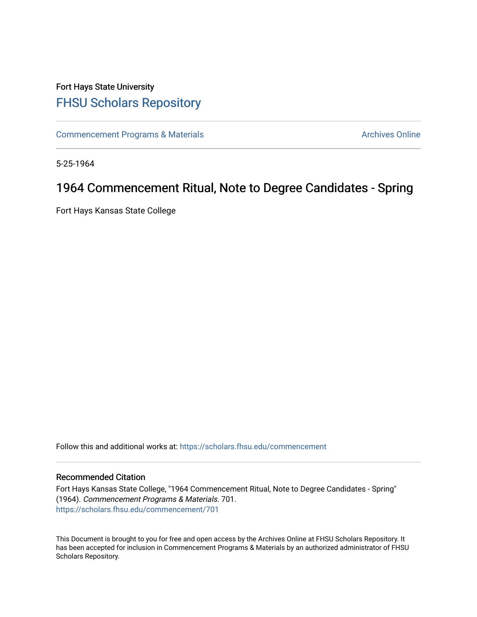# Fort Hays State University [FHSU Scholars Repository](https://scholars.fhsu.edu/)

[Commencement Programs & Materials](https://scholars.fhsu.edu/commencement) **Archives Online** Archives Online

5-25-1964

# 1964 Commencement Ritual, Note to Degree Candidates - Spring

Fort Hays Kansas State College

Follow this and additional works at: [https://scholars.fhsu.edu/commencement](https://scholars.fhsu.edu/commencement?utm_source=scholars.fhsu.edu%2Fcommencement%2F701&utm_medium=PDF&utm_campaign=PDFCoverPages)

# Recommended Citation

Fort Hays Kansas State College, "1964 Commencement Ritual, Note to Degree Candidates - Spring" (1964). Commencement Programs & Materials. 701. [https://scholars.fhsu.edu/commencement/701](https://scholars.fhsu.edu/commencement/701?utm_source=scholars.fhsu.edu%2Fcommencement%2F701&utm_medium=PDF&utm_campaign=PDFCoverPages)

This Document is brought to you for free and open access by the Archives Online at FHSU Scholars Repository. It has been accepted for inclusion in Commencement Programs & Materials by an authorized administrator of FHSU Scholars Repository.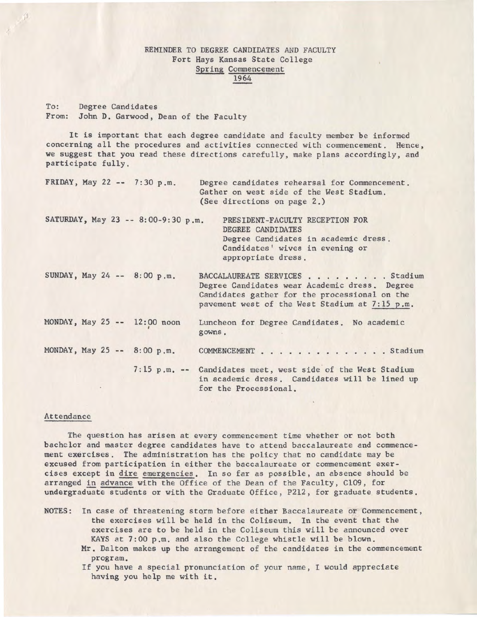# REMINDER TO DEGREE CANDIDATES AND FACULTY Fort Hays Kansas State College Spring Commencement 1964

To: Degree Candidates From: John D. Garwood, Dean of the Faculty

It is important that each degree candidate and faculty member be informed concerning all the procedures and activities connected with commencement. Hence, we suggest that you read these directions carefully, make plans accordingly, and participate fully.

| FRIDAY, May 22 -- 7:30 p.m.        | Degree candidates rehearsal for Commencement.<br>Gather on west side of the West Stadium.<br>(See directions on page 2.)                                                           |
|------------------------------------|------------------------------------------------------------------------------------------------------------------------------------------------------------------------------------|
| SATURDAY, May 23 -- 8:00-9:30 p.m. | PRESIDENT-FACULTY RECEPTION FOR<br>DEGREE CANDIDATES<br>Degree Candidates in academic dress.<br>Candidates' wives in evening or<br>appropriate dress.                              |
| SUNDAY, May 24 -- 8:00 p.m.        | BACCALAUREATE SERVICES Stadium<br>Degree Candidates wear Academic dress. Degree<br>Candidates gather for the processional on the<br>pavement west of the West Stadium at 7:15 p.m. |
| $MONDAY$ , May 25 -- 12:00 noon    | Luncheon for Degree Candidates. No academic<br>gowns.                                                                                                                              |
| MONDAY, May 25 -- 8:00 p.m.        | COMMENCEMENT Stadium                                                                                                                                                               |
|                                    | 7:15 p.m. -- Candidates meet, west side of the West Stadium<br>in academic dress. Candidates will be lined up<br>for the Processional.                                             |

## Attendance

program.

The question has arisen at every commencement time whether or not both bachelor and master degree candidates have to attend baccalaureate and commencement exercises. The administration has the policy that no candidate may be excused from participation in either the baccalaureate or commencement exercises except in dire emergencies. In so far as possible, an absence should be arranged in advance with the Office of the Dean of the Faculty, Cl09, for undergraduate students or with the Graduate Office, P212, for graduate students.

- NOTES: In case of threatening storm before either Baccalaureate or Commencement, the exercises will be held in the Coliseum. In the event that the exercises are to be held in the Coliseum this will be announced over KAYS at 7:00 p.m. and also the College whistle will be blown. Mr. Dalton makes up the arrangement of the candidates in the commencement
	- If you have *a* special pronunciation of your name, I would appreciate having you help me with it.